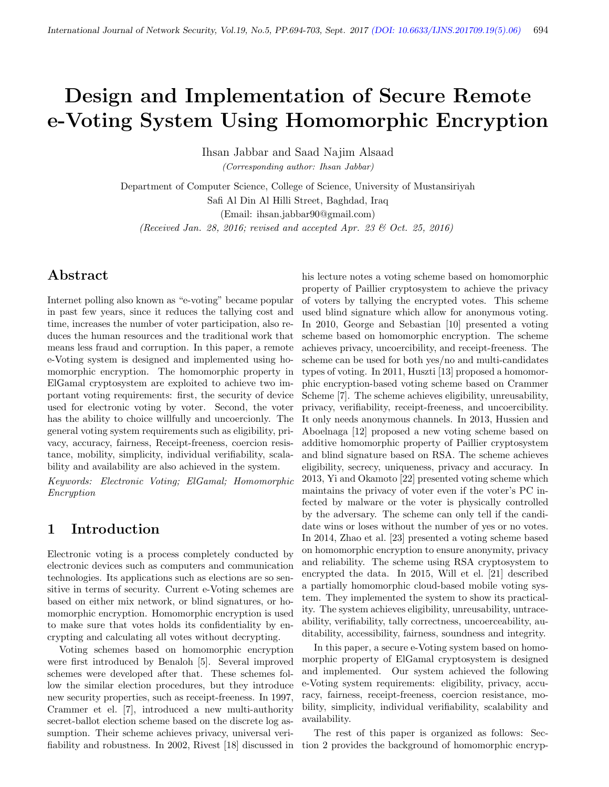# Design and Implementation of Secure Remote e-Voting System Using Homomorphic Encryption

Ihsan Jabbar and Saad Najim Alsaad

(Corresponding author: Ihsan Jabbar)

Department of Computer Science, College of Science, University of Mustansiriyah Safi Al Din Al Hilli Street, Baghdad, Iraq (Email: ihsan.jabbar90@gmail.com)

(Received Jan. 28, 2016; revised and accepted Apr. 23  $\mathcal{B}$  Oct. 25, 2016)

# Abstract

Internet polling also known as "e-voting" became popular in past few years, since it reduces the tallying cost and time, increases the number of voter participation, also reduces the human resources and the traditional work that means less fraud and corruption. In this paper, a remote e-Voting system is designed and implemented using homomorphic encryption. The homomorphic property in ElGamal cryptosystem are exploited to achieve two important voting requirements: first, the security of device used for electronic voting by voter. Second, the voter has the ability to choice willfully and uncoercionly. The general voting system requirements such as eligibility, privacy, accuracy, fairness, Receipt-freeness, coercion resistance, mobility, simplicity, individual verifiability, scalability and availability are also achieved in the system.

Keywords: Electronic Voting; ElGamal; Homomorphic Encryption

#### 1 Introduction

Electronic voting is a process completely conducted by electronic devices such as computers and communication technologies. Its applications such as elections are so sensitive in terms of security. Current e-Voting schemes are based on either mix network, or blind signatures, or homomorphic encryption. Homomorphic encryption is used to make sure that votes holds its confidentiality by encrypting and calculating all votes without decrypting.

Voting schemes based on homomorphic encryption were first introduced by Benaloh [5]. Several improved schemes were developed after that. These schemes follow the similar election procedures, but they introduce new security properties, such as receipt-freeness. In 1997, Crammer et el. [7], introduced a new multi-authority secret-ballot election scheme based on the discrete log assumption. Their scheme achieves privacy, universal verifiability and robustness. In 2002, Rivest [18] discussed in

his lecture notes a voting scheme based on homomorphic property of Paillier cryptosystem to achieve the privacy of voters by tallying the encrypted votes. This scheme used blind signature which allow for anonymous voting. In 2010, George and Sebastian [10] presented a voting scheme based on homomorphic encryption. The scheme achieves privacy, uncoercibility, and receipt-freeness. The scheme can be used for both yes/no and multi-candidates types of voting. In 2011, Huszti [13] proposed a homomorphic encryption-based voting scheme based on Crammer Scheme [7]. The scheme achieves eligibility, unreusability, privacy, verifiability, receipt-freeness, and uncoercibility. It only needs anonymous channels. In 2013, Hussien and Aboelnaga [12] proposed a new voting scheme based on additive homomorphic property of Paillier cryptosystem and blind signature based on RSA. The scheme achieves eligibility, secrecy, uniqueness, privacy and accuracy. In 2013, Yi and Okamoto [22] presented voting scheme which maintains the privacy of voter even if the voter's PC infected by malware or the voter is physically controlled by the adversary. The scheme can only tell if the candidate wins or loses without the number of yes or no votes. In 2014, Zhao et al. [23] presented a voting scheme based on homomorphic encryption to ensure anonymity, privacy and reliability. The scheme using RSA cryptosystem to encrypted the data. In 2015, Will et el. [21] described a partially homomorphic cloud-based mobile voting system. They implemented the system to show its practicality. The system achieves eligibility, unreusability, untraceability, verifiability, tally correctness, uncoerceability, auditability, accessibility, fairness, soundness and integrity.

In this paper, a secure e-Voting system based on homomorphic property of ElGamal cryptosystem is designed and implemented. Our system achieved the following e-Voting system requirements: eligibility, privacy, accuracy, fairness, receipt-freeness, coercion resistance, mobility, simplicity, individual verifiability, scalability and availability.

The rest of this paper is organized as follows: Section 2 provides the background of homomorphic encryp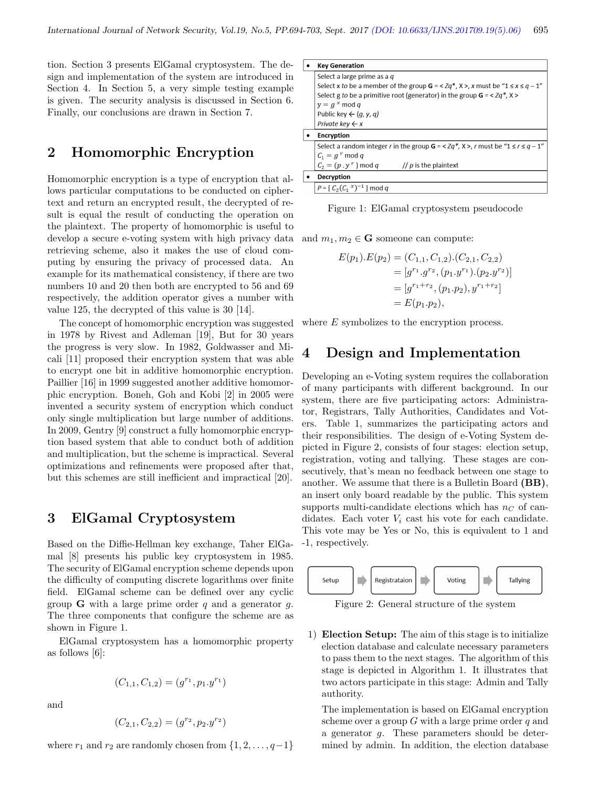tion. Section 3 presents ElGamal cryptosystem. The design and implementation of the system are introduced in Section 4. In Section 5, a very simple testing example is given. The security analysis is discussed in Section 6. Finally, our conclusions are drawn in Section 7.

#### 2 Homomorphic Encryption

Homomorphic encryption is a type of encryption that allows particular computations to be conducted on ciphertext and return an encrypted result, the decrypted of result is equal the result of conducting the operation on the plaintext. The property of homomorphic is useful to develop a secure e-voting system with high privacy data retrieving scheme, also it makes the use of cloud computing by ensuring the privacy of processed data. An example for its mathematical consistency, if there are two numbers 10 and 20 then both are encrypted to 56 and 69 respectively, the addition operator gives a number with value 125, the decrypted of this value is 30 [14].

The concept of homomorphic encryption was suggested in 1978 by Rivest and Adleman [19], But for 30 years the progress is very slow. In 1982, Goldwasser and Micali [11] proposed their encryption system that was able to encrypt one bit in additive homomorphic encryption. Paillier [16] in 1999 suggested another additive homomorphic encryption. Boneh, Goh and Kobi [2] in 2005 were invented a security system of encryption which conduct only single multiplication but large number of additions. In 2009, Gentry [9] construct a fully homomorphic encryption based system that able to conduct both of addition and multiplication, but the scheme is impractical. Several optimizations and refinements were proposed after that, but this schemes are still inefficient and impractical [20].

#### 3 ElGamal Cryptosystem

Based on the Diffie-Hellman key exchange, Taher ElGamal [8] presents his public key cryptosystem in 1985. The security of ElGamal encryption scheme depends upon the difficulty of computing discrete logarithms over finite field. ElGamal scheme can be defined over any cyclic group **G** with a large prime order  $q$  and a generator  $q$ . The three components that configure the scheme are as shown in Figure 1.

ElGamal cryptosystem has a homomorphic property as follows [6]:

$$
(C_{1,1}, C_{1,2}) = (g^{r_1}, p_1.y^{r_1})
$$

and

$$
(C_{2,1}, C_{2,2}) = (g^{r_2}, p_2.y^{r_2})
$$

where  $r_1$  and  $r_2$  are randomly chosen from  $\{1, 2, \ldots, q-1\}$ 

|                                                                                                          | <b>Key Generation</b>                                            |  |  |  |  |  |  |
|----------------------------------------------------------------------------------------------------------|------------------------------------------------------------------|--|--|--|--|--|--|
|                                                                                                          | Select a large prime as a $q$                                    |  |  |  |  |  |  |
| Select x to be a member of the group $G = \langle Zq^*, X \rangle$ , x must be " $1 \le x \le q - 1$ "   |                                                                  |  |  |  |  |  |  |
| Select g to be a primitive root (generator) in the group $G = \langle Zq^*, X \rangle$                   |                                                                  |  |  |  |  |  |  |
|                                                                                                          | $y = g^x \mod q$                                                 |  |  |  |  |  |  |
|                                                                                                          | Public key $\leftarrow$ (q, y, q)                                |  |  |  |  |  |  |
|                                                                                                          | Private key $\leftarrow x$                                       |  |  |  |  |  |  |
|                                                                                                          | <b>Encryption</b>                                                |  |  |  |  |  |  |
| Select a random integer r in the group $G = \langle Zq^*, X \rangle$ , r must be " $1 \le r \le q - 1$ " |                                                                  |  |  |  |  |  |  |
|                                                                                                          | $C_1 = g^r \mod q$                                               |  |  |  |  |  |  |
|                                                                                                          | $C_2 = (p \cdot y^r) \mod q$<br>$\frac{1}{2}$ p is the plaintext |  |  |  |  |  |  |
|                                                                                                          | Decryption                                                       |  |  |  |  |  |  |
|                                                                                                          | $P = [C_2(C_1^x)^{-1}] \mod q$                                   |  |  |  |  |  |  |

Figure 1: ElGamal cryptosystem pseudocode

and  $m_1, m_2 \in \mathbf{G}$  someone can compute:

$$
E(p_1).E(p_2) = (C_{1,1}, C_{1,2}).(C_{2,1}, C_{2,2})
$$
  
=  $[g^{r_1}.g^{r_2}, (p_1. y^{r_1}).(p_2. y^{r_2})]$   
=  $[g^{r_1+r_2}, (p_1. p_2), y^{r_1+r_2}]$   
=  $E(p_1.p_2),$ 

where E symbolizes to the encryption process.

#### 4 Design and Implementation

Developing an e-Voting system requires the collaboration of many participants with different background. In our system, there are five participating actors: Administrator, Registrars, Tally Authorities, Candidates and Voters. Table 1, summarizes the participating actors and their responsibilities. The design of e-Voting System depicted in Figure 2, consists of four stages: election setup, registration, voting and tallying. These stages are consecutively, that's mean no feedback between one stage to another. We assume that there is a Bulletin Board (BB), an insert only board readable by the public. This system supports multi-candidate elections which has  $n<sub>C</sub>$  of candidates. Each voter  $V_i$  cast his vote for each candidate. This vote may be Yes or No, this is equivalent to 1 and -1, respectively.



Figure 2: General structure of the system

1) Election Setup: The aim of this stage is to initialize election database and calculate necessary parameters to pass them to the next stages. The algorithm of this stage is depicted in Algorithm 1. It illustrates that two actors participate in this stage: Admin and Tally authority.

The implementation is based on ElGamal encryption scheme over a group  $G$  with a large prime order  $q$  and a generator g. These parameters should be determined by admin. In addition, the election database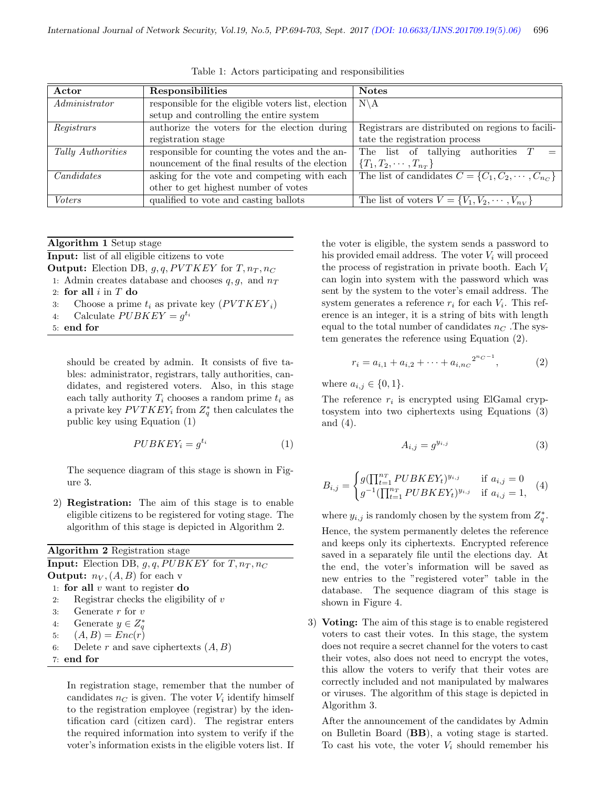| Actor             | Responsibilities                                   | <b>Notes</b>                                                           |
|-------------------|----------------------------------------------------|------------------------------------------------------------------------|
| Administrator     | responsible for the eligible voters list, election | $N\backslash A$                                                        |
|                   | setup and controlling the entire system            |                                                                        |
| Registrars        | authorize the voters for the election during       | Registrars are distributed on regions to facili-                       |
|                   | registration stage                                 | tate the registration process                                          |
| Tally Authorities | responsible for counting the votes and the an-     | The list of tallying authorities $T$                                   |
|                   | nouncement of the final results of the election    | ${T_1, T_2, \cdots, T_{n_T}}$                                          |
| Candidates        | asking for the vote and competing with each        | The list of candidates $\overline{C} = \{C_1, C_2, \cdots, C_{n_C}\}\$ |
|                   | other to get highest number of votes               |                                                                        |
| Voters            | qualified to vote and casting ballots              | The list of voters $V = \{V_1, V_2, \dots, V_{n_V}\}\$                 |

Table 1: Actors participating and responsibilities

Algorithm 1 Setup stage

Input: list of all eligible citizens to vote

**Output:** Election DB,  $g, q, PVTKEY$  for  $T, n_T, n_C$ 

- 1: Admin creates database and chooses  $q, g$ , and  $n<sub>T</sub>$
- 2: for all  $i$  in  $T$  do
- 3: Choose a prime  $t_i$  as private key  $(PVTKEY_i)$
- 4: Calculate  $PUBKEY = g^{t_i}$
- 5: end for

should be created by admin. It consists of five tables: administrator, registrars, tally authorities, candidates, and registered voters. Also, in this stage each tally authority  $T_i$  chooses a random prime  $t_i$  as a private key  $PVTKEY_i$  from  $Z_q^*$  then calculates the public key using Equation (1)

$$
PUBKEY_i = g^{t_i} \tag{1}
$$

The sequence diagram of this stage is shown in Figure 3.

2) Registration: The aim of this stage is to enable eligible citizens to be registered for voting stage. The algorithm of this stage is depicted in Algorithm 2.

| <b>Algorithm 2</b> Registration stage                       |
|-------------------------------------------------------------|
| <b>Input:</b> Election DB, $g, q, PUBKEY$ for $T, n_T, n_C$ |
| <b>Output:</b> $n_V$ , $(A, B)$ for each v                  |
| 1: for all $v$ want to register do                          |
| Registrar checks the eligibility of $v$<br>2:               |
| 3: Generate $r$ for $v$                                     |
| 4: Generate $y \in Z^*_a$                                   |
| 5: $(A, B) = Enc(r)$                                        |
| Delete r and save ciphertexts $(A, B)$<br>6:                |
| $7:$ end for                                                |

In registration stage, remember that the number of candidates  $n<sub>C</sub>$  is given. The voter  $V<sub>i</sub>$  identify himself to the registration employee (registrar) by the identification card (citizen card). The registrar enters the required information into system to verify if the voter's information exists in the eligible voters list. If the voter is eligible, the system sends a password to his provided email address. The voter  $V_i$  will proceed the process of registration in private booth. Each  $V_i$ can login into system with the password which was sent by the system to the voter's email address. The system generates a reference  $r_i$  for each  $V_i$ . This reference is an integer, it is a string of bits with length equal to the total number of candidates  $n<sub>C</sub>$ . The system generates the reference using Equation (2).

$$
r_i = a_{i,1} + a_{i,2} + \dots + a_{i,n_C}^{2^{n_C - 1}}, \tag{2}
$$

where  $a_{i,j} \in \{0, 1\}.$ 

The reference  $r_i$  is encrypted using ElGamal cryptosystem into two ciphertexts using Equations (3) and (4).

$$
A_{i,j} = g^{y_{i,j}} \tag{3}
$$

$$
B_{i,j} = \begin{cases} g(\prod_{t=1}^{n_T} PUBKEY_t)^{y_{i,j}} & \text{if } a_{i,j} = 0\\ g^{-1}(\prod_{t=1}^{n_T} PUBKEY_t)^{y_{i,j}} & \text{if } a_{i,j} = 1, \end{cases}
$$
 (4)

where  $y_{i,j}$  is randomly chosen by the system from  $Z_q^*$ . Hence, the system permanently deletes the reference and keeps only its ciphertexts. Encrypted reference saved in a separately file until the elections day. At the end, the voter's information will be saved as new entries to the "registered voter" table in the database. The sequence diagram of this stage is shown in Figure 4.

3) Voting: The aim of this stage is to enable registered voters to cast their votes. In this stage, the system does not require a secret channel for the voters to cast their votes, also does not need to encrypt the votes, this allow the voters to verify that their votes are correctly included and not manipulated by malwares or viruses. The algorithm of this stage is depicted in Algorithm 3.

After the announcement of the candidates by Admin on Bulletin Board (BB), a voting stage is started. To cast his vote, the voter  $V_i$  should remember his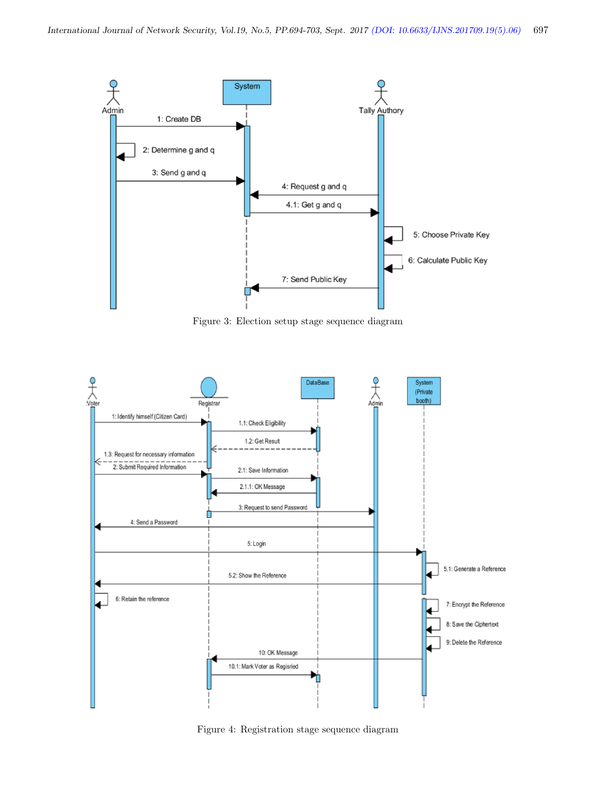

Figure 3: Election setup stage sequence diagram



Figure 4: Registration stage sequence diagram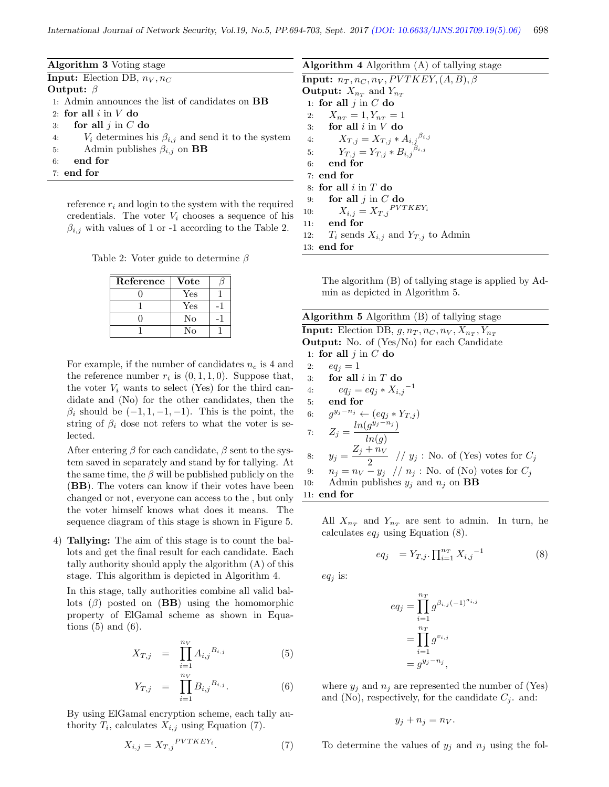| <b>Algorithm 3</b> Voting stage                                    | <b>Algorithm 4</b> Algorithm $(A)$ of tallying stage                                             |
|--------------------------------------------------------------------|--------------------------------------------------------------------------------------------------|
| <b>Input:</b> Election DB, $n_V, n_C$                              | <b>Input:</b> $n_T, n_C, n_V, PVTKEY, (A, B), \beta$                                             |
| Output: $\beta$                                                    | <b>Output:</b> $X_{n_T}$ and $Y_{n_T}$                                                           |
| 1. Admin announces the list of candidates on <b>BB</b>             | 1: for all $j$ in $C$ do                                                                         |
| 2: for all $i$ in $V$ do                                           | 2: $X_{n_T} = 1, Y_{n_T} = 1$                                                                    |
| for all $j$ in $C$ do<br>3:                                        | for all $i$ in $V$ do<br>3:                                                                      |
| $V_i$ determines his $\beta_{i,j}$ and send it to the system<br>4: |                                                                                                  |
| Admin publishes $\beta_{i,j}$ on <b>BB</b><br>5:                   | 4: $X_{T,j} = X_{T,j} * A_{i,j}^{\beta_{i,j}}$<br>5: $Y_{T,j} = Y_{T,j} * B_{i,j}^{\beta_{i,j}}$ |
| end for<br>6:                                                      | end for<br>6:                                                                                    |
| $7:$ end for                                                       | $7:$ end for                                                                                     |
|                                                                    | 8: for all $i$ in $T$ do                                                                         |
|                                                                    |                                                                                                  |

reference  $r_i$  and login to the system with the required credentials. The voter  $V_i$  chooses a sequence of his  $\beta_{i,j}$  with values of 1 or -1 according to the Table 2.

Table 2: Voter guide to determine  $\beta$ 

| Reference | Vote |  |
|-----------|------|--|
|           | Yes  |  |
|           | Yes  |  |
|           | No   |  |
|           | N٥   |  |

For example, if the number of candidates  $n_c$  is 4 and the reference number  $r_i$  is  $(0, 1, 1, 0)$ . Suppose that, the voter  $V_i$  wants to select (Yes) for the third candidate and (No) for the other candidates, then the  $\beta_i$  should be  $(-1, 1, -1, -1)$ . This is the point, the string of  $\beta_i$  dose not refers to what the voter is selected.

After entering  $\beta$  for each candidate,  $\beta$  sent to the system saved in separately and stand by for tallying. At the same time, the  $\beta$  will be published publicly on the (BB). The voters can know if their votes have been changed or not, everyone can access to the , but only the voter himself knows what does it means. The sequence diagram of this stage is shown in Figure 5.

4) Tallying: The aim of this stage is to count the ballots and get the final result for each candidate. Each tally authority should apply the algorithm (A) of this stage. This algorithm is depicted in Algorithm 4.

In this stage, tally authorities combine all valid ballots  $(\beta)$  posted on  $(BB)$  using the homomorphic property of ElGamal scheme as shown in Equations  $(5)$  and  $(6)$ .

$$
X_{T,j} = \prod_{i=1}^{n_V} A_{i,j}^{B_{i,j}} \tag{5}
$$

$$
Y_{T,j} = \prod_{i=1}^{n_V} B_{i,j}^{B_{i,j}}.
$$
 (6)

By using ElGamal encryption scheme, each tally authority  $T_i$ , calculates  $X_{i,j}$  using Equation (7).

$$
X_{i,j} = X_{T,j}^{PVTKEY_i}.\tag{7}
$$

9: for all  $j$  in  $C$  do 10:  $X_{i,j} = X_{T,j}^{PVTKEY_i}$ 11: end for 12:  $T_i$  sends  $X_{i,j}$  and  $Y_{T,j}$  to Admin 13: end for The algorithm (B) of tallying stage is applied by Admin as depicted in Algorithm 5.

| <b>Algorithm 5</b> Algorithm $(B)$ of tallying stage                      |  |
|---------------------------------------------------------------------------|--|
| <b>Input:</b> Election DB, $g, n_T, n_C, n_V, X_{n_T}, Y_{n_T}$           |  |
| <b>Output:</b> No. of (Yes/No) for each Candidate                         |  |
| 1: for all $j$ in $C$ do                                                  |  |
| $eq_i = 1$<br>2:                                                          |  |
| for all $i$ in $T$ do<br>3.                                               |  |
| $eq_i = eq_i * X_{i,j}^{-1}$<br>4:                                        |  |
| end for<br>5:                                                             |  |
| $g^{y_j-n_j} \leftarrow (eq_j * Y_{T,i})$<br>6:                           |  |
| $Z_j = \frac{ln(g^{y_j - n_j})}{ln(q)}$<br>7:                             |  |
|                                                                           |  |
| $y_j = \frac{Z_j + n_V}{2}$ // $y_j$ : No. of (Yes) votes for $C_j$<br>8: |  |
|                                                                           |  |
| $n_j = n_V - y_j$ // $n_j$ : No. of (No) votes for $C_j$<br>9:            |  |
| Admin publishes $y_i$ and $n_i$ on <b>BB</b><br>10:                       |  |
| $11:$ end for                                                             |  |
|                                                                           |  |

All  $X_{n_T}$  and  $Y_{n_T}$  are sent to admin. In turn, he calculates  $eq_i$  using Equation (8).

$$
eq_j \quad = Y_{T,j} \cdot \prod_{i=1}^{n_T} X_{i,j}^{-1} \tag{8}
$$

 $eq_i$  is:

$$
eq_j = \prod_{i=1}^{n_T} g^{\beta_{i,j}(-1)^{a_{i,j}}}
$$

$$
= \prod_{i=1}^{n_T} g^{v_{i,j}}
$$

$$
= g^{y_j - n_j},
$$

where  $y_i$  and  $n_i$  are represented the number of (Yes) and (No), respectively, for the candidate  $C_j$ . and:

$$
y_j + n_j = n_V.
$$

To determine the values of  $y_j$  and  $n_j$  using the fol-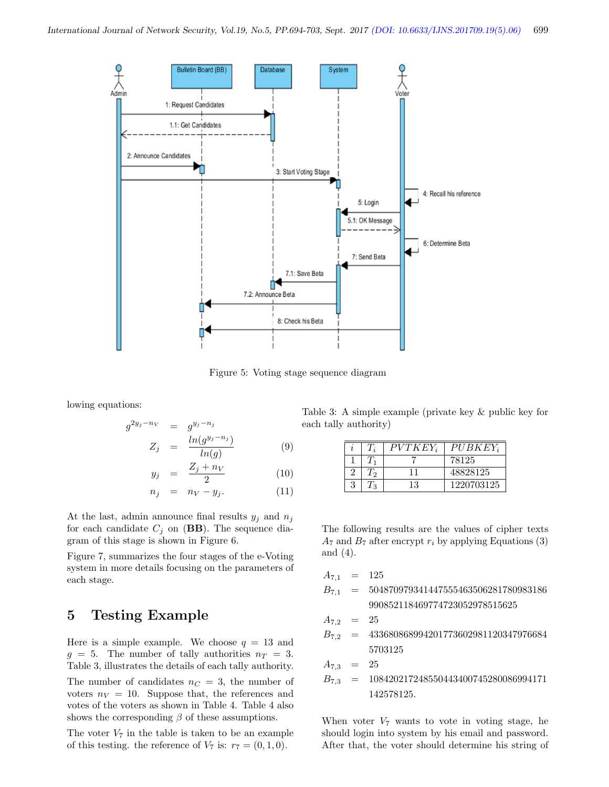

Figure 5: Voting stage sequence diagram

lowing equations:

$$
g^{2y_j - n_V} = g^{y_j - n_j}
$$
  

$$
Z_j = \frac{\ln(g^{y_j - n_j})}{h^{(j)}(x)}
$$
 (9)

$$
y_j = \frac{ln(g)}{2} \tag{10}
$$

$$
n_j = n_V - y_j. \tag{11}
$$

At the last, admin announce final results  $y_j$  and  $n_j$ for each candidate  $C_j$  on (**BB**). The sequence diagram of this stage is shown in Figure 6.

Figure 7, summarizes the four stages of the e-Voting system in more details focusing on the parameters of each stage.

### 5 Testing Example

Here is a simple example. We choose  $q = 13$  and  $g = 5$ . The number of tally authorities  $n_T = 3$ . Table 3, illustrates the details of each tally authority. The number of candidates  $n<sub>C</sub> = 3$ , the number of voters  $n_V = 10$ . Suppose that, the references and votes of the voters as shown in Table 4. Table 4 also shows the corresponding  $\beta$  of these assumptions.

The voter  $V_7$  in the table is taken to be an example of this testing. the reference of  $V_7$  is:  $r_7 = (0, 1, 0)$ .

Table 3: A simple example (private key & public key for each tally authority)

| $\boldsymbol{\eta}$ |          | $PVTKEY_i$ | $PUBKEY_i$ |
|---------------------|----------|------------|------------|
|                     |          |            | 78125      |
|                     | $\Omega$ |            | 48828125   |
|                     |          | 13         | 1220703125 |

The following results are the values of cipher texts  $A_7$  and  $B_7$  after encrypt  $r_i$  by applying Equations (3) and (4).

| $A_{7,1}$                        | = 125                                  |
|----------------------------------|----------------------------------------|
| $B_{7,1}$                        | = 504870979341447555463506281780983186 |
| $990852118469774723052978515625$ |                                        |
| $A_{7,2}$                        | = 25                                   |
| $B_{7,2}$                        | = 433680868994201773602981120347976684 |
| $5703125$                        |                                        |
| $A_{7,3}$                        | = 25                                   |
| $B_{7,3}$                        | = 108420217248550443400745280086994171 |
| $142578125$                      |                                        |

When voter  $V_7$  wants to vote in voting stage, he should login into system by his email and password. After that, the voter should determine his string of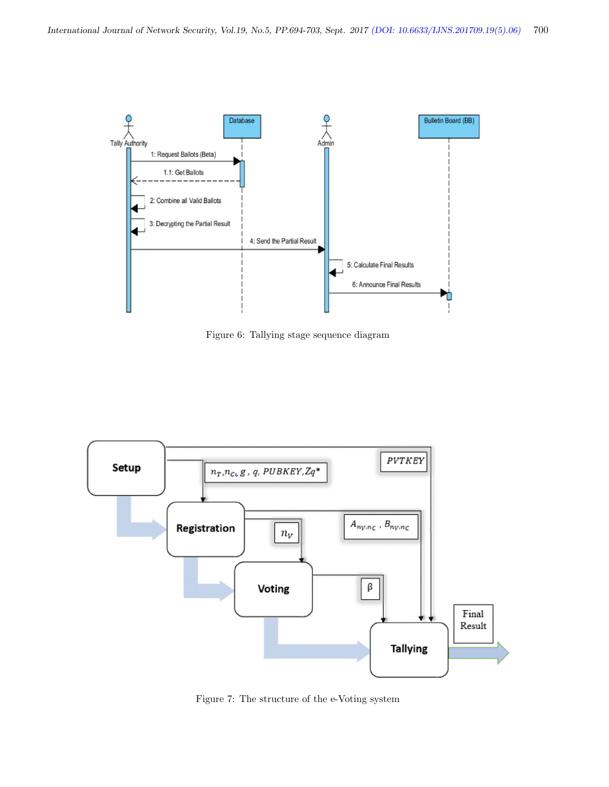

Figure 6: Tallying stage sequence diagram



Figure 7: The structure of the e-Voting system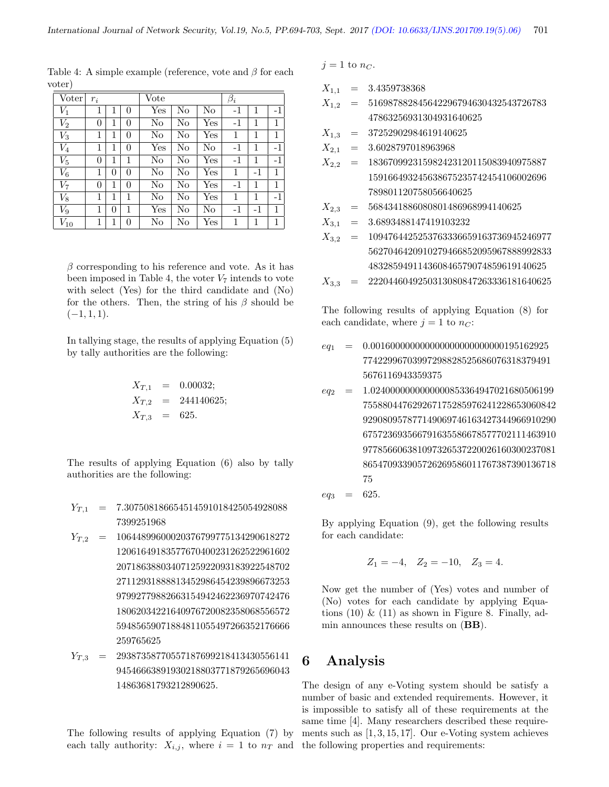| Voter    | $r_i$    |   |          | Vote         |    |              | $\beta_i$ |      |      |
|----------|----------|---|----------|--------------|----|--------------|-----------|------|------|
| $V_1$    | 1        | 1 | $\theta$ | $_{\rm Yes}$ | No | No           | $-1$      | 1    | $-1$ |
| $V_{2}$  | $\Omega$ | 1 | $\Omega$ | No           | No | Yes          | $-1$      | 1    | 1    |
| $V_3$    | 1        | 1 | $\theta$ | No           | No | Yes          | 1         | 1    | 1    |
| $V_4$    | 1        | 1 | 0        | $_{\rm Yes}$ | No | No           | $-1$      | 1    | $-1$ |
| $V_5$    | $\Omega$ | 1 | 1        | No           | No | Yes          | $-1$      | 1    | $-1$ |
| $V_6$    | 1        | 0 | 0        | No           | No | $_{\rm Yes}$ | 1         | $-1$ | 1    |
| $V_7$    | $\Omega$ | 1 | 0        | No           | No | Yes          | $-1$      | 1    | 1    |
| $V_8$    | 1        | 1 | 1        | No           | No | Yes          | 1         | 1    | $-1$ |
| $V_9$    | 1        | 0 | 1        | $_{\rm Yes}$ | No | No           | $-1$      | $-1$ | 1    |
| $V_{10}$ | 1        | 1 | 0        | No           | No | $_{\rm Yes}$ | 1         | 1    | 1    |

Table 4: A simple example (reference, vote and  $\beta$  for each voter)

 $\beta$  corresponding to his reference and vote. As it has been imposed in Table 4, the voter  $V_7$  intends to vote with select (Yes) for the third candidate and (No) for the others. Then, the string of his  $\beta$  should be  $(-1, 1, 1).$ 

In tallying stage, the results of applying Equation (5) by tally authorities are the following:

$$
X_{T,1} = 0.00032;
$$
  
\n
$$
X_{T,2} = 244140625;
$$
  
\n
$$
X_{T,3} = 625.
$$

The results of applying Equation (6) also by tally authorities are the following:

- $Y_{T,1}$  = 7.307508186654514591018425054928088 7399251968
- $Y_{T,2}$  = 10644899600020376799775134290618272 12061649183577670400231262522961602 20718638803407125922093183922548702 27112931888813452986454239896673253 97992779882663154942462236970742476 18062034221640976720082358068556572 59485659071884811055497266352176666 259765625
- $Y_{T,3}$  = 29387358770557187699218413430556141 94546663891930218803771879265696043 14863681793212890625.

The following results of applying Equation (7) by each tally authority:  $X_{i,j}$ , where  $i = 1$  to  $n<sub>T</sub>$  and the following properties and requirements:

 $j = 1$  to  $n_C$ .

 $X_{1,1} = 3.4359738368$ 

- $X_{1,2} = 516987882845642296794630432543726783$ 47863256931304931640625
- $X_{1,3}$  = 37252902984619140625
- $X_{2,1}$  = 3.6028797018963968
- $X_{2,2}$  = 183670992315982423120115083940975887 159166493245638675235742454106002696 789801120758056640625
- $X_{2,3}$  = 5684341886080801486968994140625
- $X_{3,1}$  = 3.6893488147419103232
- $X_{3,2}$  = 1094764425253763336659163736945246977 5627046420910279466852095967888992833 483285949114360846579074859619140625
- $X_{3,3}$  = 2220446049250313080847263336181640625

The following results of applying Equation (8) for each candidate, where  $j = 1$  to  $n_C$ :

- $eq_1$  = 0.001600000000000000000000000000195162925 77422996703997298828525686076318379491 5676116943359375
- $eq_2$  = 1.02400000000000000853364947021680506199 755880447629267175285976241228653060842 929080957877149069746163427344966910290 675723693566791635586678577702111463910 977856606381097326537220026160300237081 865470933905726269586011767387390136718 75  $eq_3 = 625.$

By applying Equation (9), get the following results for each candidate:

$$
Z_1 = -4, \quad Z_2 = -10, \quad Z_3 = 4.
$$

Now get the number of (Yes) votes and number of (No) votes for each candidate by applying Equations  $(10) \& (11)$  as shown in Figure 8. Finally, admin announces these results on (BB).

## 6 Analysis

The design of any e-Voting system should be satisfy a number of basic and extended requirements. However, it is impossible to satisfy all of these requirements at the same time [4]. Many researchers described these requirements such as [1, 3, 15, 17]. Our e-Voting system achieves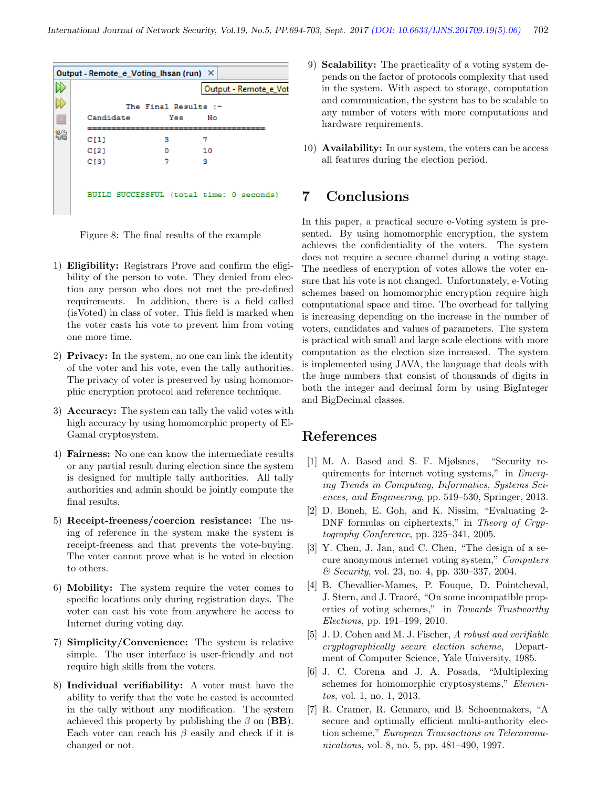| Output - Remote_e_Voting_Ihsan (run) X |                      |                                          |  |
|----------------------------------------|----------------------|------------------------------------------|--|
|                                        |                      | Output - Remote_e_Vot                    |  |
|                                        | The Final Results :- |                                          |  |
| Candidate                              | Yes                  | No                                       |  |
| C[1]                                   | з                    | 7                                        |  |
| CI21                                   | ٥                    | 10                                       |  |
| C[3]                                   | 7                    | з                                        |  |
|                                        |                      | BUILD SUCCESSFUL (total time: 0 seconds) |  |

Figure 8: The final results of the example

- 1) Eligibility: Registrars Prove and confirm the eligibility of the person to vote. They denied from election any person who does not met the pre-defined requirements. In addition, there is a field called (isVoted) in class of voter. This field is marked when the voter casts his vote to prevent him from voting one more time.
- 2) Privacy: In the system, no one can link the identity of the voter and his vote, even the tally authorities. The privacy of voter is preserved by using homomorphic encryption protocol and reference technique.
- 3) Accuracy: The system can tally the valid votes with high accuracy by using homomorphic property of El-Gamal cryptosystem.
- 4) Fairness: No one can know the intermediate results or any partial result during election since the system is designed for multiple tally authorities. All tally authorities and admin should be jointly compute the final results.
- 5) Receipt-freeness/coercion resistance: The using of reference in the system make the system is receipt-freeness and that prevents the vote-buying. The voter cannot prove what is he voted in election to others.
- 6) Mobility: The system require the voter comes to specific locations only during registration days. The voter can cast his vote from anywhere he access to Internet during voting day.
- 7) Simplicity/Convenience: The system is relative simple. The user interface is user-friendly and not require high skills from the voters.
- 8) Individual verifiability: A voter must have the ability to verify that the vote he casted is accounted in the tally without any modification. The system achieved this property by publishing the  $\beta$  on (**BB**). Each voter can reach his  $\beta$  easily and check if it is changed or not.
- 9) Scalability: The practicality of a voting system depends on the factor of protocols complexity that used in the system. With aspect to storage, computation and communication, the system has to be scalable to any number of voters with more computations and hardware requirements.
- 10) Availability: In our system, the voters can be access all features during the election period.

### 7 Conclusions

In this paper, a practical secure e-Voting system is presented. By using homomorphic encryption, the system achieves the confidentiality of the voters. The system does not require a secure channel during a voting stage. The needless of encryption of votes allows the voter ensure that his vote is not changed. Unfortunately, e-Voting schemes based on homomorphic encryption require high computational space and time. The overhead for tallying is increasing depending on the increase in the number of voters, candidates and values of parameters. The system is practical with small and large scale elections with more computation as the election size increased. The system is implemented using JAVA, the language that deals with the huge numbers that consist of thousands of digits in both the integer and decimal form by using BigInteger and BigDecimal classes.

#### References

- [1] M. A. Based and S. F. Mjølsnes, "Security requirements for internet voting systems," in Emerging Trends in Computing, Informatics, Systems Sciences, and Engineering, pp. 519–530, Springer, 2013.
- [2] D. Boneh, E. Goh, and K. Nissim, "Evaluating 2- DNF formulas on ciphertexts," in Theory of Cryptography Conference, pp. 325–341, 2005.
- [3] Y. Chen, J. Jan, and C. Chen, "The design of a secure anonymous internet voting system," Computers & Security, vol. 23, no. 4, pp. 330–337, 2004.
- [4] B. Chevallier-Mames, P. Fouque, D. Pointcheval, J. Stern, and J. Traoré, "On some incompatible properties of voting schemes," in Towards Trustworthy Elections, pp. 191–199, 2010.
- [5] J. D. Cohen and M. J. Fischer, A robust and verifiable cryptographically secure election scheme, Department of Computer Science, Yale University, 1985.
- [6] J. C. Corena and J. A. Posada, "Multiplexing schemes for homomorphic cryptosystems," Elementos, vol. 1, no. 1, 2013.
- [7] R. Cramer, R. Gennaro, and B. Schoenmakers, "A secure and optimally efficient multi-authority election scheme," European Transactions on Telecommunications, vol. 8, no. 5, pp. 481–490, 1997.